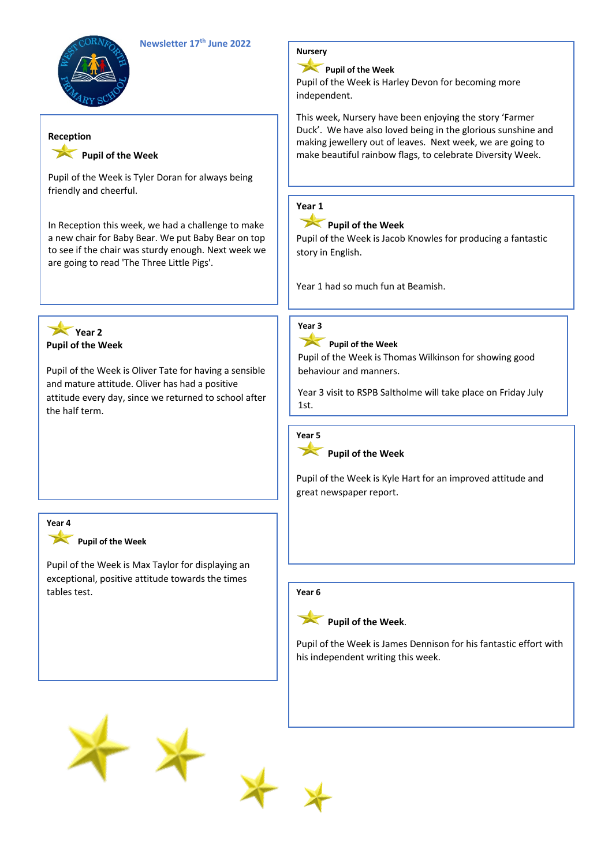



#### **Reception**

## Pupil of the Week

Pupil of the Week is Tyler Doran for always being friendly and cheerful.

In Reception this week, we had a challenge to make a new chair for Baby Bear. We put Baby Bear on top to see if the chair was sturdy enough. Next week we are going to read 'The Three Little Pigs'.

#### **Year 2 Pupil of the Week**

Pupil of the Week is Oliver Tate for having a sensible and mature attitude. Oliver has had a positive attitude every day, since we returned to school after the half term.

# **Year 4**

#### Pupil of the Week

Pupil of the Week is Max Taylor for displaying an exceptional, positive attitude towards the times tables test.

# **Nursery**

# **Pupil of the Week**

Pupil of the Week is Harley Devon for becoming more independent.

This week, Nursery have been enjoying the story 'Farmer Duck'. We have also loved being in the glorious sunshine and making jewellery out of leaves. Next week, we are going to make beautiful rainbow flags, to celebrate Diversity Week.

# **Year 1**



# **Pupil of the Week**

Pupil of the Week is Jacob Knowles for producing a fantastic story in English.

Year 1 had so much fun at Beamish.



# **Pupil of the Week**

Pupil of the Week is Thomas Wilkinson for showing good behaviour and manners.

Year 3 visit to RSPB Saltholme will take place on Friday July 1st.



#### **Pupil of the Week**

Pupil of the Week is Kyle Hart for an improved attitude and great newspaper report.

#### **Year 6**



Pupil of the Week is James Dennison for his fantastic effort with his independent writing this week.



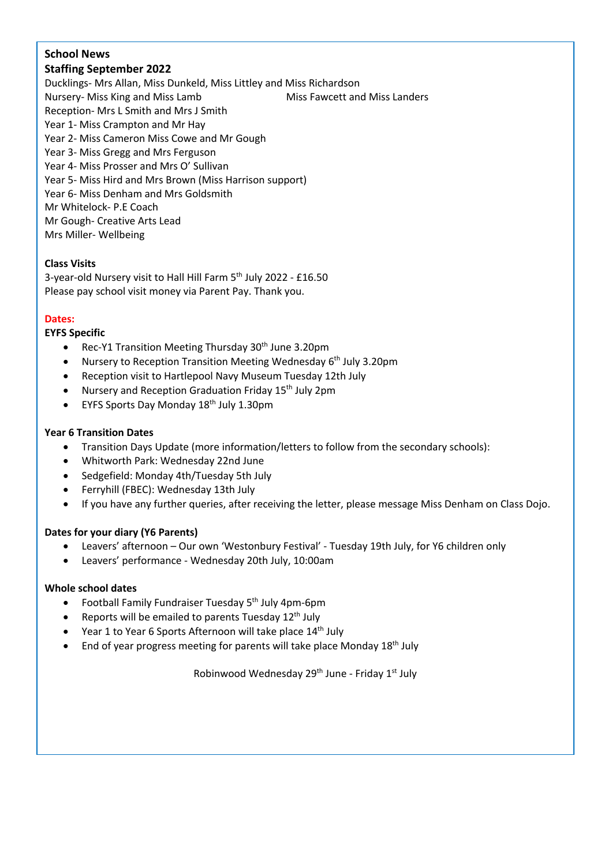# **School News**

# **Staffing September 2022**

Ducklings- Mrs Allan, Miss Dunkeld, Miss Littley and Miss Richardson Nursery- Miss King and Miss Lamb Miss Fawcett and Miss Landers Reception- Mrs L Smith and Mrs J Smith Year 1- Miss Crampton and Mr Hay Year 2- Miss Cameron Miss Cowe and Mr Gough Year 3- Miss Gregg and Mrs Ferguson Year 4- Miss Prosser and Mrs O' Sullivan Year 5- Miss Hird and Mrs Brown (Miss Harrison support) Year 6- Miss Denham and Mrs Goldsmith Mr Whitelock- P.E Coach Mr Gough- Creative Arts Lead Mrs Miller- Wellbeing

## **Class Visits**

3-year-old Nursery visit to Hall Hill Farm 5th July 2022 - £16.50 Please pay school visit money via Parent Pay. Thank you.

## **Dates:**

#### **EYFS Specific**

- Rec-Y1 Transition Meeting Thursday 30<sup>th</sup> June 3.20pm
- Nursery to Reception Transition Meeting Wednesday 6<sup>th</sup> July 3.20pm
- Reception visit to Hartlepool Navy Museum Tuesday 12th July
- Nursery and Reception Graduation Friday  $15<sup>th</sup>$  July 2pm
- EYFS Sports Day Monday 18<sup>th</sup> July 1.30pm

#### **Year 6 Transition Dates**

- Transition Days Update (more information/letters to follow from the secondary schools):
- Whitworth Park: Wednesday 22nd June
- Sedgefield: Monday 4th/Tuesday 5th July
- Ferryhill (FBEC): Wednesday 13th July
- If you have any further queries, after receiving the letter, please message Miss Denham on Class Dojo.

#### **Dates for your diary (Y6 Parents)**

- Leavers' afternoon Our own 'Westonbury Festival' Tuesday 19th July, for Y6 children only
- Leavers' performance Wednesday 20th July, 10:00am

#### **Whole school dates**

- Football Family Fundraiser Tuesday 5<sup>th</sup> July 4pm-6pm
- Reports will be emailed to parents Tuesday  $12<sup>th</sup>$  July
- Year 1 to Year 6 Sports Afternoon will take place  $14<sup>th</sup>$  July
- End of year progress meeting for parents will take place Monday  $18<sup>th</sup>$  July

Robinwood Wednesday  $29<sup>th</sup>$  June - Friday  $1<sup>st</sup>$  July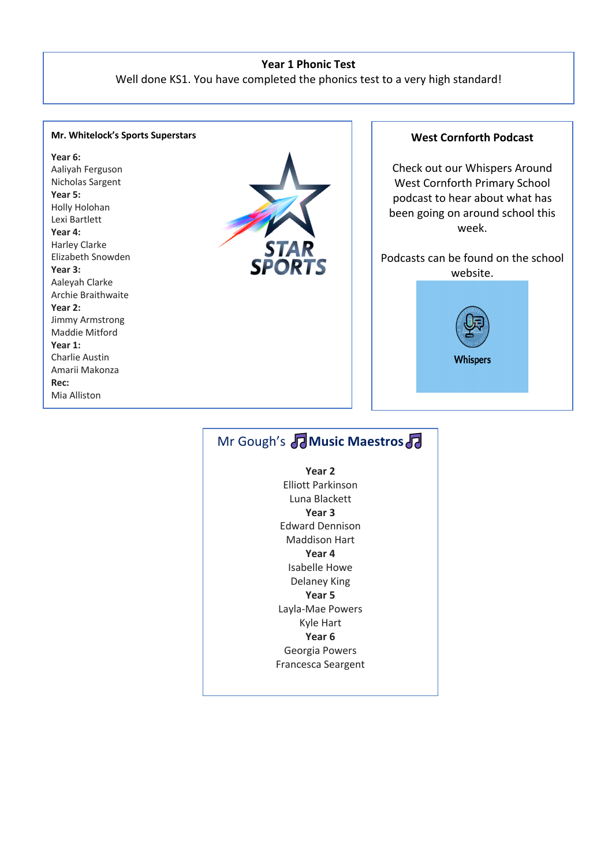#### **Year 1 Phonic Test**

Well done KS1. You have completed the phonics test to a very high standard!

#### **Mr. Whitelock's Sports Superstars**

#### **Year 6:**

Aaliyah Ferguson Nicholas Sargent **Year 5:** Holly Holohan Lexi Bartlett **Year 4:** Harley Clarke Elizabeth Snowden **Year 3:** Aaleyah Clarke Archie Braithwaite **Year 2:** Jimmy Armstrong Maddie Mitford **Year 1:** Charlie Austin

Amarii Makonza

**Rec:** Mia Alliston Aria Cain



#### **West Cornforth Podcast**

Check out our Whispers Around West Cornforth Primary School podcast to hear about what has been going on around school this week.

# Podcasts can be found on the school website. **Whispers**

# **Mr Gough's <b>T** Music Maestros **T**

**Year 2** Elliott Parkinson Luna Blackett **Year 3** Edward Dennison Maddison Hart **Year 4** Isabelle Howe Delaney King **Year 5** Layla-Mae Powers Kyle Hart **Year 6** Georgia Powers Francesca Seargent